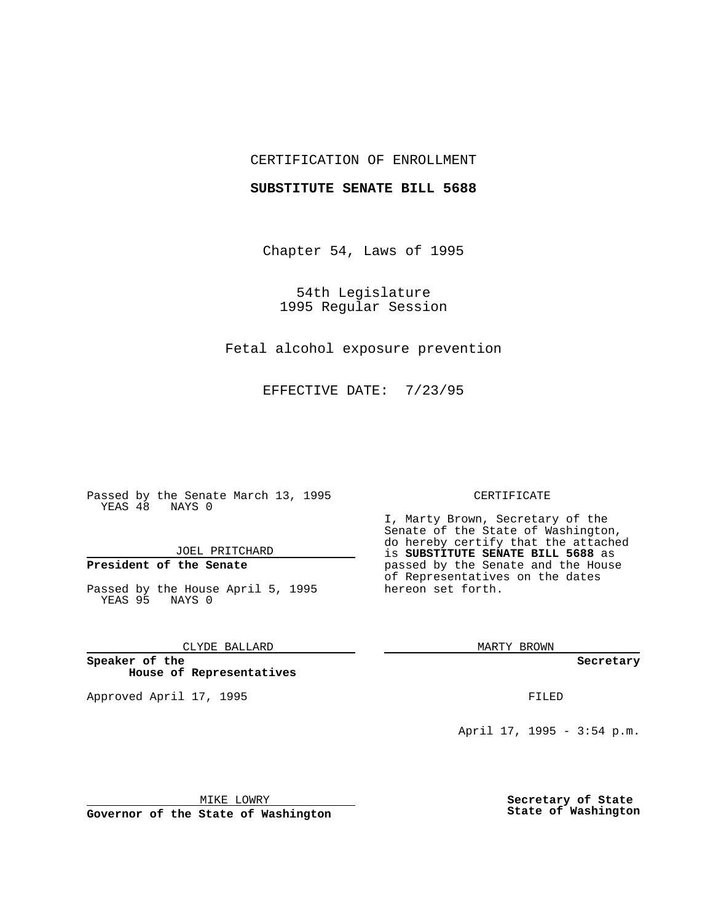## CERTIFICATION OF ENROLLMENT

### **SUBSTITUTE SENATE BILL 5688**

Chapter 54, Laws of 1995

54th Legislature 1995 Regular Session

Fetal alcohol exposure prevention

EFFECTIVE DATE: 7/23/95

Passed by the Senate March 13, 1995 YEAS 48 NAYS 0

JOEL PRITCHARD

# **President of the Senate**

Passed by the House April 5, 1995 YEAS 95 NAYS 0

CLYDE BALLARD

**Speaker of the House of Representatives**

Approved April 17, 1995 **FILED** 

#### CERTIFICATE

I, Marty Brown, Secretary of the Senate of the State of Washington, do hereby certify that the attached is **SUBSTITUTE SENATE BILL 5688** as passed by the Senate and the House of Representatives on the dates hereon set forth.

MARTY BROWN

**Secretary**

April 17, 1995 - 3:54 p.m.

MIKE LOWRY **Governor of the State of Washington** **Secretary of State State of Washington**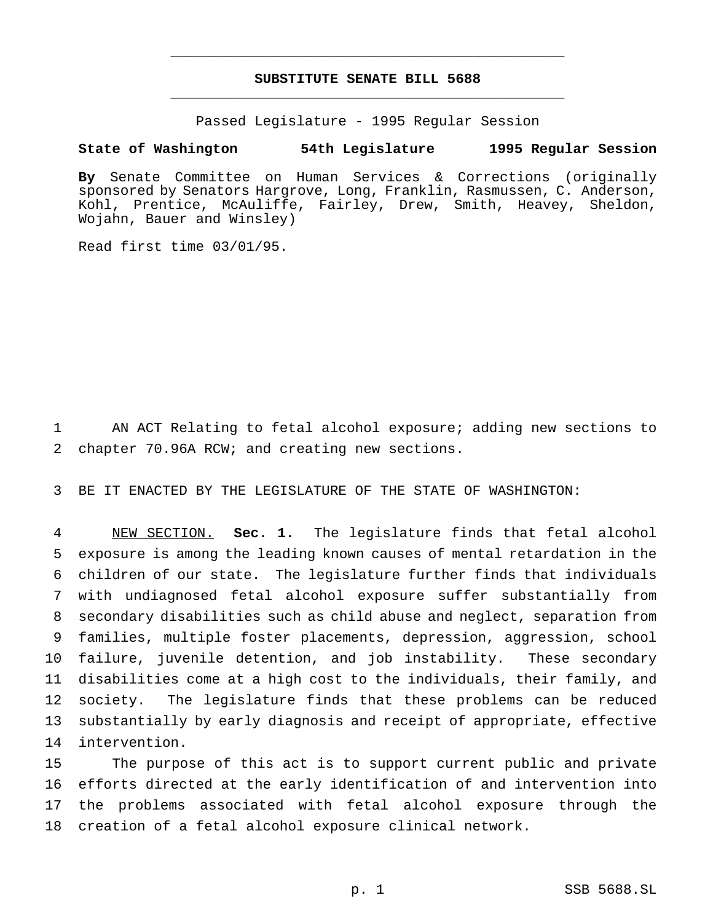# **SUBSTITUTE SENATE BILL 5688** \_\_\_\_\_\_\_\_\_\_\_\_\_\_\_\_\_\_\_\_\_\_\_\_\_\_\_\_\_\_\_\_\_\_\_\_\_\_\_\_\_\_\_\_\_\_\_

\_\_\_\_\_\_\_\_\_\_\_\_\_\_\_\_\_\_\_\_\_\_\_\_\_\_\_\_\_\_\_\_\_\_\_\_\_\_\_\_\_\_\_\_\_\_\_

Passed Legislature - 1995 Regular Session

# **State of Washington 54th Legislature 1995 Regular Session**

**By** Senate Committee on Human Services & Corrections (originally sponsored by Senators Hargrove, Long, Franklin, Rasmussen, C. Anderson, Kohl, Prentice, McAuliffe, Fairley, Drew, Smith, Heavey, Sheldon, Wojahn, Bauer and Winsley)

Read first time 03/01/95.

 AN ACT Relating to fetal alcohol exposure; adding new sections to chapter 70.96A RCW; and creating new sections.

BE IT ENACTED BY THE LEGISLATURE OF THE STATE OF WASHINGTON:

 NEW SECTION. **Sec. 1.** The legislature finds that fetal alcohol exposure is among the leading known causes of mental retardation in the children of our state. The legislature further finds that individuals with undiagnosed fetal alcohol exposure suffer substantially from secondary disabilities such as child abuse and neglect, separation from families, multiple foster placements, depression, aggression, school failure, juvenile detention, and job instability. These secondary disabilities come at a high cost to the individuals, their family, and society. The legislature finds that these problems can be reduced substantially by early diagnosis and receipt of appropriate, effective intervention.

 The purpose of this act is to support current public and private efforts directed at the early identification of and intervention into the problems associated with fetal alcohol exposure through the creation of a fetal alcohol exposure clinical network.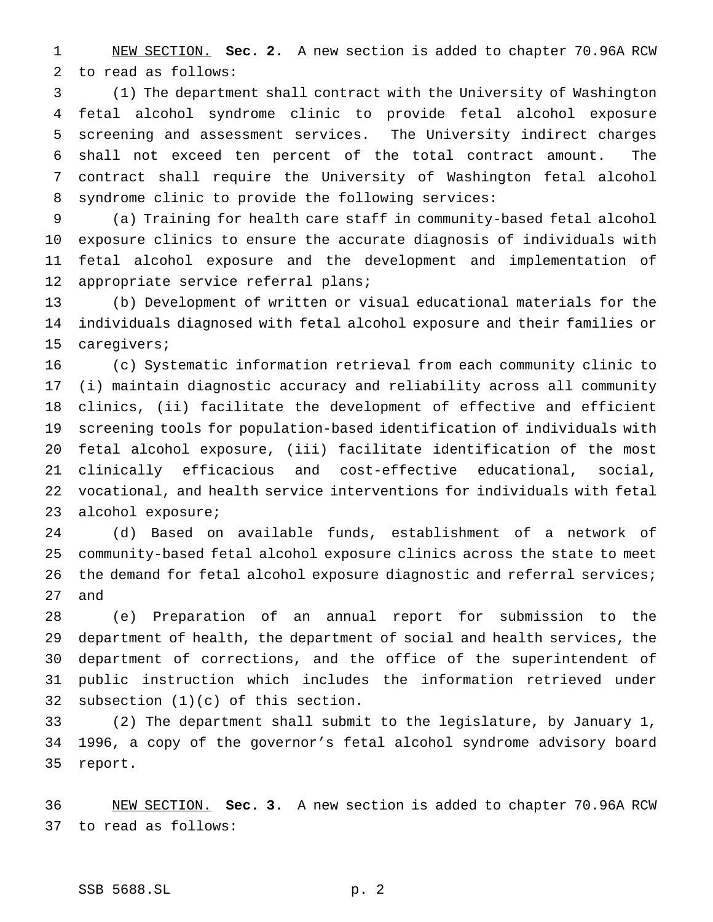NEW SECTION. **Sec. 2.** A new section is added to chapter 70.96A RCW to read as follows:

 (1) The department shall contract with the University of Washington fetal alcohol syndrome clinic to provide fetal alcohol exposure screening and assessment services. The University indirect charges shall not exceed ten percent of the total contract amount. The contract shall require the University of Washington fetal alcohol syndrome clinic to provide the following services:

 (a) Training for health care staff in community-based fetal alcohol exposure clinics to ensure the accurate diagnosis of individuals with fetal alcohol exposure and the development and implementation of appropriate service referral plans;

 (b) Development of written or visual educational materials for the individuals diagnosed with fetal alcohol exposure and their families or caregivers;

 (c) Systematic information retrieval from each community clinic to (i) maintain diagnostic accuracy and reliability across all community clinics, (ii) facilitate the development of effective and efficient screening tools for population-based identification of individuals with fetal alcohol exposure, (iii) facilitate identification of the most clinically efficacious and cost-effective educational, social, vocational, and health service interventions for individuals with fetal alcohol exposure;

 (d) Based on available funds, establishment of a network of community-based fetal alcohol exposure clinics across the state to meet 26 the demand for fetal alcohol exposure diagnostic and referral services; and

 (e) Preparation of an annual report for submission to the department of health, the department of social and health services, the department of corrections, and the office of the superintendent of public instruction which includes the information retrieved under subsection (1)(c) of this section.

 (2) The department shall submit to the legislature, by January 1, 1996, a copy of the governor's fetal alcohol syndrome advisory board report.

 NEW SECTION. **Sec. 3.** A new section is added to chapter 70.96A RCW to read as follows: